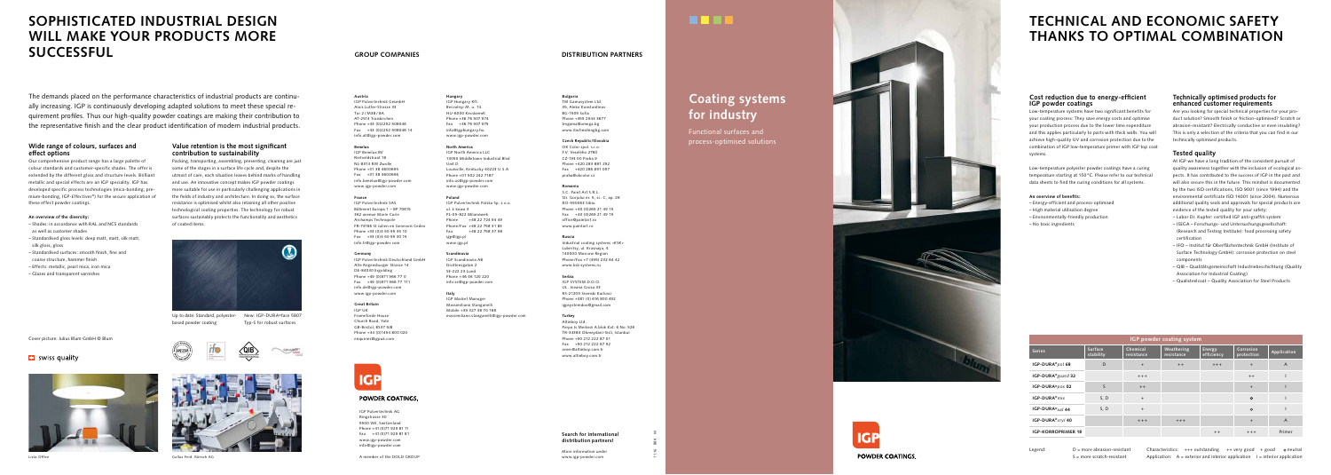11.16 BBK M

 $\leq$ 

### **Cost reduction due to energy-efficient IGP powder coatings**

Low-temperature systems have two significant benefits for your coating process: They save energy costs and optimise your production process due to the lower time expenditure and this applies particularly to parts with thick walls. You will achieve high-quality UV and corrosion protection due to the combination of IGP low-temperature primer with IGP top coat systems.

Low-temperature polyester powder coatings have a curing temperature starting at 150 °C. Please refer to our technical data sheets to find the curing conditions for all systems.

#### **An overview of benefits:**

- Energy-efficient and process-optimised
- High material utilisation degree
- Environmentally-friendly production
- No toxic ingredients

#### **Technically optimised products for enhanced customer requirements**

Are you looking for special technical properties for your pro duct solution? Smooth finish or friction-optimised? Scratch or abrasion-resistant? Electrically conductive or even insulating? This is only a selection of the criteria that you can find in our technically optimised products.

### **Tested quality**

At IGP we have a long tradition of the consistent pursuit of quality awareness together with the inclusion of ecological as pects. It has contributed to the success of IGP in the past and will also secure this in the future. This mindset is documented by the two ISO certifications, ISO 9001 (since 1994) and the environmental certificate ISO 14001 (since 2004). Numerous additional quality seals and approvals for special products are evidence of the tested quality for your safety:

- Labor Dr. Kupfer: certified IGP anti-graffiti system
- ISEGA Forschungs- und Untersuchungsgesellschaft: (Research and Testing Institute): food processing safety certification
- IFO Institut für Oberflächentechnik GmbH (Institute of Surface Technology GmbH): corrosion protection on steel components
- QIB Qualitätsgemeinschaft Industriebeschichtung (Quality Association for Industrial Coating)
- Qualisteelcoat Quality Association for Steel Products

# **Coating systems for industry**

Functional surfaces and process-optimised solutions







# **SOPHISTICATED INDUSTRIAL DESIGN WILL MAKE YOUR PRODUCTS MORE SUCCESSFUL**

The demands placed on the performance characteristics of industrial products are continu ally increasing. IGP is continuously developing adapted solutions to meet these special re quirement profiles. Thus our high-quality powder coatings are making their contribution to the representative finish and the clear product identification of modern industrial products.

#### **Wide range of colours, surfaces and effect options**

Our comprehensive product range has a large palette of colour standards and customer-specific shades. The offer is extended by the different gloss and structure levels. Brilliant metallic and special effects are an IGP speciality. IGP has developed specific process technologies (mica-bonding, pre mium-bonding, IGP-*Effectives* ®) for the secure application of these effect powder coatings.

#### **An overview of the diversity:**

S.C. Paint Art S.R.L. Str. Gorjului nr. 5, sc. C, ap. 26 RO-550063 Sibiu Phone +40 (0)269 21 49 15 Fax +40 (0)269 21 49 15 office@paintart.ro www.paintart.ro

- Shades: in accordance with RAL and NCS standards as well as customer shades
- Standardised gloss levels: deep matt, matt, silk matt, silk gloss, gloss
- Standardised surfaces: smooth finish, fine and coarse structure, hammer finish
- Effects: metallic, pearl mica, iron mica

– Glazes and transparent varnishes

#### **Value retention is the most significant contribution to sustainability**

Packing, transporting, assembling, presenting, cleaning are just some of the stages in a surface life cycle and, despite the utmost of care, each situation leaves behind marks of handling and use. An innovative concept makes IGP powder coatings more suitable for use in particularly challenging applications in the fields of industry and architecture. In doing so, the surface resistance is optimised whilst also retaining all other positive technological coating properties. The technology for robust surfaces sustainably protects the functionality and aesthetics of coated items.

Cover picture: Julius Blum GmbH © Blum

 $\blacksquare$  swiss quality

## **TECHNICAL AND ECONOMIC SAFETY THANKS TO OPTIMAL COMBINATION**

D = more abrasion-resistant S = more scratch-resistant

Characteristics:  $++$  outstanding  $++$  very good  $+$  good oneutral Application:  $A =$  exterior and interior application  $I =$  interior application

| IGP powder coating system      |                      |                        |                          |                             |                         |                |
|--------------------------------|----------------------|------------------------|--------------------------|-----------------------------|-------------------------|----------------|
| <b>Series</b>                  | Surface<br>stability | Chemical<br>resistance | Weathering<br>resistance | <b>Energy</b><br>efficiency | Corrosion<br>protection | Application    |
| IGP-DURA®pol 68                | D                    | $+$                    | $++$                     | $+++$                       | $+$                     | A              |
| IGP-DURA <sup>®</sup> guard 32 |                      | $+++$                  |                          |                             | $++$                    |                |
| IGP-DURA®pox 02                | S                    | $++$                   |                          |                             | $+$                     |                |
| $IGP-DURA® mix$                | S, D                 | $+$                    |                          |                             | $\circ$                 |                |
| $IGP-DURA® xal$ 44             | S, D                 | $+$                    |                          |                             | $\circ$                 |                |
| IGP-DURA®cryl 40               |                      | $+++$                  | $+++$                    |                             | $+$                     | $\overline{A}$ |
| <b>IGP-KORROPRIMER 18</b>      |                      |                        |                          | $++$                        | $+++$                   | Primer         |

Legend:

Up to date: Standard, polyester-New: IGP-DURA ®*face* 5807



based powder coating





Gallus Ferd. Rüesch AG



IGP Pulvertechnik AG Ringstrasse 30 9500 Wil, Switzerland Phone +41 (0)71 929 81 11 Fax +41 (0)71 929 81 81 www.igp-powder.com info@igp-powder.com

#### A member of the DOLD GROUP

#### **Austria** IGP Pulvertechnik GesmbH

Alois Lutter-Strasse 33 Tor 2 / M38 / 8A AT-2514 Traiskirchen Phone +43 (0)2252 508046 Fax +43 (0)2252 508046 14 info.at@igp-powder.com

#### **Benelux**

IGP Benelux BV Rietveldstraat 18 NL-8013 RW Zwolle Phone +31 38 4600695 Fax +31 38 4600696 info.benelux@igp-powder.com www.igp-powder.com

#### **France**

IGP Pulvertechnik SAS Bâtiment Europa 1 – BP 70615 362 avenue Marie Curie Archamps Technopole FR-74166 St Julien en Genevois Cedex Phone +33 (0)4 50 95 35 10 Fax +33 (0)4 50 95 30 15 info.fr@igp-powder.com

#### **Germany**

IGP Pulvertechnik Deutschland GmbH Alte Regensburger Strasse 14 DE-84030 Ergolding Phone +49 (0)871 966 77 0 Fax +49 (0)871 966 77 111 info.de@igp-powder.com www.igp-powder.com

#### **Great Britain**

IGP UK Fromeforde House Church Road, Yate GB-Bristol, BS37 5JB Phone +44 (0)1454 800 020 enquiries@igpuk.com



### POWDER COATINGS.

#### **Bulgaria**

TM Gamasystem Ltd. 35, Aleko Konstantinov BG-1505 Sofia Phone +359 2943 3677 tmgama@omega.bg www.itwfinishingbg.com

#### **Czech Republic/Slovakia**

OK Color spol. s.r.o. F.V. Veselého 2760 CZ-193 00 Praha 9 Phone +420 283 881 252 Fax +420 286 891 097 praha@okcolor.cz

#### **Romania**

#### **Russia**

Industrial coating systems «KSK» Lubertsy, ul. Krasnaya, 4 140000 Moscow Region Phone/Fax +7 (495) 232 64 42 www.ksk-systems.ru

#### **Serbia**

IGP SYSTEM D.O.O. UL. Jovana Grosa 33 RS-21205 Sremski Karlovci Phone +381 (0) 616 800 492 igpsystemdoo@gmail.com

#### **Turkey**

Altinboy Ltd. Perpa Is Merkezi A blok Kat: 6 No: 526 TR-34384 Okmeydani-Sisli, Istanbul Phone +90 212 222 87 01 Fax +90 212 222 67 92 omer@altinboy.com.tr www.altinboy.com.tr

#### **Hungary** IGP Hungary Kft. Bercsényi M. u. 14. HU-6000 Kecskemét Phone +36 76 507 974 Fax +36 76 507 975 info@igphungary.hu www.igp-powder.com

#### **North America**

IGP North America LLC 13050 Middletown Industrial Blvd Unit D Louisville, Kentucky 40223 U.S.A Phone +01 502 242 7187 info.us@igp-powder.com www.igp-powder.com

#### **Poland**

IGP Pulvertechnik Polska Sp. z o.o. ul.  $\frac{1}{2}$  kowa 3 PL-05-822 Milanówek Phone +48 22 724 94 49 Phone/Fax +48 22 758 31 83 Fax +48 22 758 37 98 igp@igp.pl www.igp.pl

#### **Scandinavia**

IGP Scandinavia AB Drottensgatan 2 SE-222 23 Lund Phone +46 46 120 220 info.se@igp-powder.com

#### **Italy**

IGP Market Manager Massimiliano Stanganelli Mobile +39 327 38 70 168 massimiliano.stanganelli@igp-powder.com

#### **GROUP COMPANIES DISTRIBUTION PARTNERS**

#### **Search for international distribution partners!**

More information under www.igp-powder.com